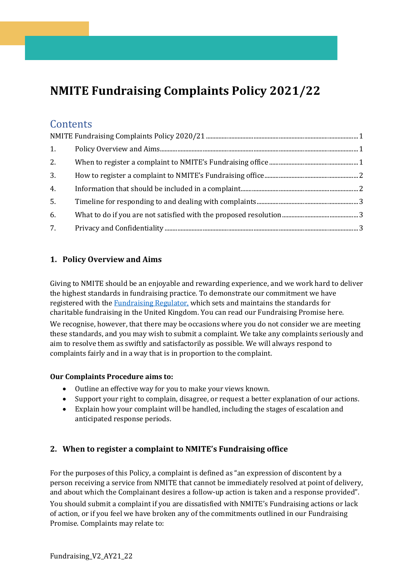# <span id="page-0-0"></span>**NMITE Fundraising Complaints Policy 2021/22**

## **Contents**

| 1. |  |
|----|--|
| 2. |  |
| 3. |  |
| 4. |  |
| 5. |  |
| 6. |  |
| 7. |  |

## <span id="page-0-1"></span>**1. Policy Overview and Aims**

Giving to NMITE should be an enjoyable and rewarding experience, and we work hard to deliver the highest standards in fundraising practice. To demonstrate our commitment we have registered with the [Fundraising Regulator,](https://www.fundraisingregulator.org.uk/) which sets and maintains the standards for charitable fundraising in the United Kingdom. You can read our Fundraising Promise here. We recognise, however, that there may be occasions where you do not consider we are meeting these standards, and you may wish to submit a complaint. We take any complaints seriously and aim to resolve them as swiftly and satisfactorily as possible. We will always respond to complaints fairly and in a way that is in proportion to the complaint.

#### **Our Complaints Procedure aims to:**

- Outline an effective way for you to make your views known.
- Support your right to complain, disagree, or request a better explanation of our actions.
- Explain how your complaint will be handled, including the stages of escalation and anticipated response periods.

## <span id="page-0-2"></span>**2. When to register a complaint to NMITE's Fundraising office**

For the purposes of this Policy, a complaint is defined as "an expression of discontent by a person receiving a service from NMITE that cannot be immediately resolved at point of delivery, and about which the Complainant desires a follow-up action is taken and a response provided".

You should submit a complaint if you are dissatisfied with NMITE's Fundraising actions or lack of action, or if you feel we have broken any of the commitments outlined in our Fundraising Promise. Complaints may relate to: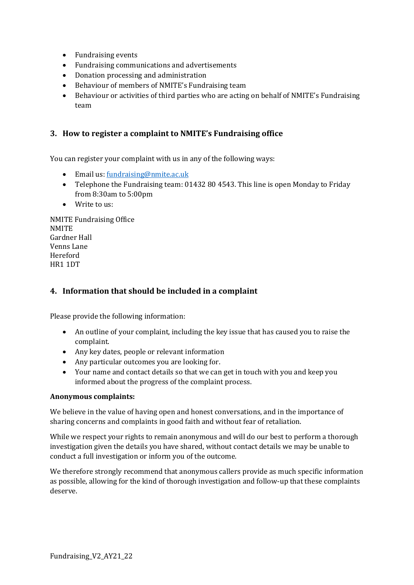- Fundraising events
- Fundraising communications and advertisements
- Donation processing and administration
- Behaviour of members of NMITE's Fundraising team
- Behaviour or activities of third parties who are acting on behalf of NMITE's Fundraising team

#### <span id="page-1-0"></span>**3. How to register a complaint to NMITE's Fundraising office**

You can register your complaint with us in any of the following ways:

- Email us[: fundraising@nmite.ac.uk](mailto:fundraising@nmite.ac.uk)
- Telephone the Fundraising team: 01432 80 4543. This line is open Monday to Friday from 8:30am to 5:00pm
- Write to us:

NMITE Fundraising Office NMITE Gardner Hall Venns Lane Hereford HR1 1DT

#### <span id="page-1-1"></span>**4. Information that should be included in a complaint**

Please provide the following information:

- An outline of your complaint, including the key issue that has caused you to raise the complaint.
- Any key dates, people or relevant information
- Any particular outcomes you are looking for.
- Your name and contact details so that we can get in touch with you and keep you informed about the progress of the complaint process.

#### **Anonymous complaints:**

We believe in the value of having open and honest conversations, and in the importance of sharing concerns and complaints in good faith and without fear of retaliation.

While we respect your rights to remain anonymous and will do our best to perform a thorough investigation given the details you have shared, without contact details we may be unable to conduct a full investigation or inform you of the outcome.

<span id="page-1-2"></span>We therefore strongly recommend that anonymous callers provide as much specific information as possible, allowing for the kind of thorough investigation and follow-up that these complaints deserve.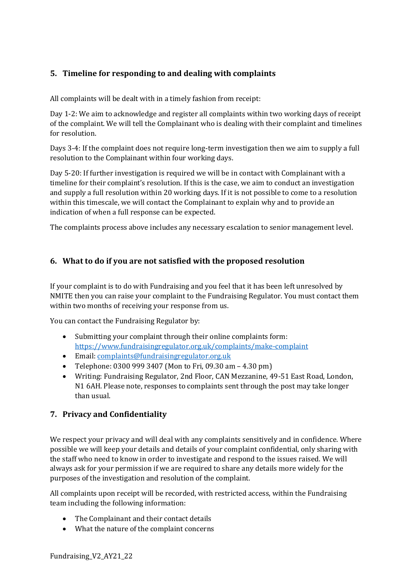## **5. Timeline for responding to and dealing with complaints**

All complaints will be dealt with in a timely fashion from receipt:

Day 1-2: We aim to acknowledge and register all complaints within two working days of receipt of the complaint. We will tell the Complainant who is dealing with their complaint and timelines for resolution.

Days 3-4: If the complaint does not require long-term investigation then we aim to supply a full resolution to the Complainant within four working days.

Day 5-20: If further investigation is required we will be in contact with Complainant with a timeline for their complaint's resolution. If this is the case, we aim to conduct an investigation and supply a full resolution within 20 working days. If it is not possible to come to a resolution within this timescale, we will contact the Complainant to explain why and to provide an indication of when a full response can be expected.

The complaints process above includes any necessary escalation to senior management level.

#### <span id="page-2-0"></span>**6. What to do if you are not satisfied with the proposed resolution**

If your complaint is to do with Fundraising and you feel that it has been left unresolved by NMITE then you can raise your complaint to the Fundraising Regulator. You must contact them within two months of receiving your response from us.

You can contact the Fundraising Regulator by:

- Submitting your complaint through their online complaints form: <https://www.fundraisingregulator.org.uk/complaints/make-complaint>
- Email: [complaints@fundraisingregulator.org.uk](mailto:complaints@fundraisingregulator.org.uk)
- Telephone: 0300 999 3407 (Mon to Fri, 09.30 am 4.30 pm)
- Writing: Fundraising Regulator, 2nd Floor, CAN Mezzanine, 49-51 East Road, London, N1 6AH. Please note, responses to complaints sent through the post may take longer than usual.

### <span id="page-2-1"></span>**7. Privacy and Confidentiality**

We respect your privacy and will deal with any complaints sensitively and in confidence. Where possible we will keep your details and details of your complaint confidential, only sharing with the staff who need to know in order to investigate and respond to the issues raised. We will always ask for your permission if we are required to share any details more widely for the purposes of the investigation and resolution of the complaint.

All complaints upon receipt will be recorded, with restricted access, within the Fundraising team including the following information:

- The Complainant and their contact details
- What the nature of the complaint concerns